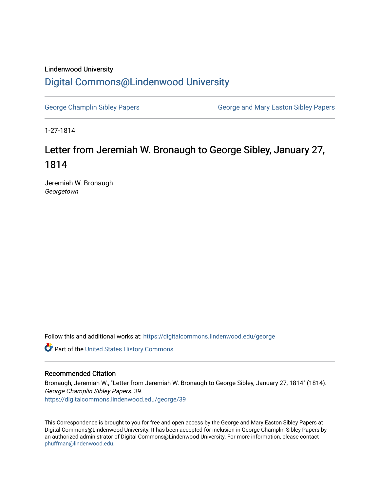# Lindenwood University [Digital Commons@Lindenwood University](https://digitalcommons.lindenwood.edu/)

[George Champlin Sibley Papers](https://digitalcommons.lindenwood.edu/george) George and Mary Easton Sibley Papers

1-27-1814

# Letter from Jeremiah W. Bronaugh to George Sibley, January 27, 1814

Jeremiah W. Bronaugh Georgetown

Follow this and additional works at: [https://digitalcommons.lindenwood.edu/george](https://digitalcommons.lindenwood.edu/george?utm_source=digitalcommons.lindenwood.edu%2Fgeorge%2F39&utm_medium=PDF&utm_campaign=PDFCoverPages)

Part of the [United States History Commons](http://network.bepress.com/hgg/discipline/495?utm_source=digitalcommons.lindenwood.edu%2Fgeorge%2F39&utm_medium=PDF&utm_campaign=PDFCoverPages) 

## Recommended Citation

Bronaugh, Jeremiah W., "Letter from Jeremiah W. Bronaugh to George Sibley, January 27, 1814" (1814). George Champlin Sibley Papers. 39. [https://digitalcommons.lindenwood.edu/george/39](https://digitalcommons.lindenwood.edu/george/39?utm_source=digitalcommons.lindenwood.edu%2Fgeorge%2F39&utm_medium=PDF&utm_campaign=PDFCoverPages) 

This Correspondence is brought to you for free and open access by the George and Mary Easton Sibley Papers at Digital Commons@Lindenwood University. It has been accepted for inclusion in George Champlin Sibley Papers by an authorized administrator of Digital Commons@Lindenwood University. For more information, please contact [phuffman@lindenwood.edu](mailto:phuffman@lindenwood.edu).